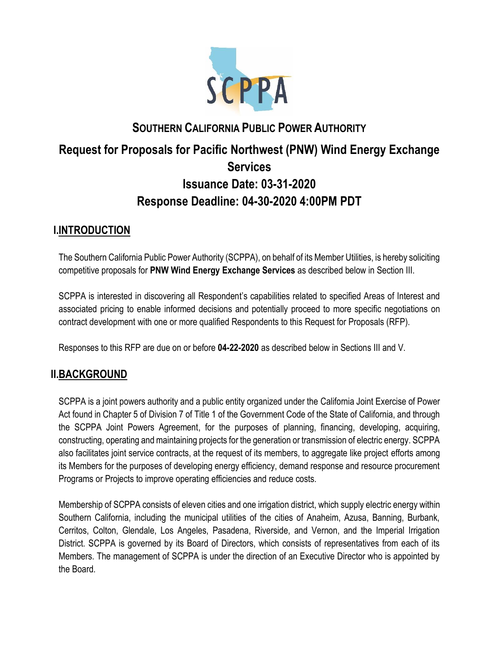

# **SOUTHERN CALIFORNIA PUBLIC POWER AUTHORITY Request for Proposals for Pacific Northwest (PNW) Wind Energy Exchange Services Issuance Date: 03-31-2020 Response Deadline: 04-30-2020 4:00PM PDT**

# **I.INTRODUCTION**

The Southern California Public Power Authority (SCPPA), on behalf of its Member Utilities, is hereby soliciting competitive proposals for **PNW Wind Energy Exchange Services** as described below in Section III.

SCPPA is interested in discovering all Respondent's capabilities related to specified Areas of Interest and associated pricing to enable informed decisions and potentially proceed to more specific negotiations on contract development with one or more qualified Respondents to this Request for Proposals (RFP).

Responses to this RFP are due on or before **04-22-2020** as described below in Sections III and V.

# **II.BACKGROUND**

SCPPA is a joint powers authority and a public entity organized under the California Joint Exercise of Power Act found in Chapter 5 of Division 7 of Title 1 of the Government Code of the State of California, and through the SCPPA Joint Powers Agreement, for the purposes of planning, financing, developing, acquiring, constructing, operating and maintaining projects for the generation or transmission of electric energy. SCPPA also facilitates joint service contracts, at the request of its members, to aggregate like project efforts among its Members for the purposes of developing energy efficiency, demand response and resource procurement Programs or Projects to improve operating efficiencies and reduce costs.

Membership of SCPPA consists of eleven cities and one irrigation district, which supply electric energy within Southern California, including the municipal utilities of the cities of Anaheim, Azusa, Banning, Burbank, Cerritos, Colton, Glendale, Los Angeles, Pasadena, Riverside, and Vernon, and the Imperial Irrigation District. SCPPA is governed by its Board of Directors, which consists of representatives from each of its Members. The management of SCPPA is under the direction of an Executive Director who is appointed by the Board.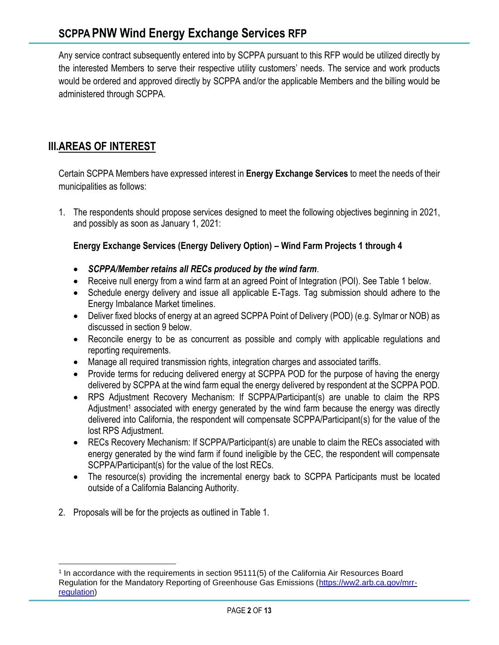Any service contract subsequently entered into by SCPPA pursuant to this RFP would be utilized directly by the interested Members to serve their respective utility customers' needs. The service and work products would be ordered and approved directly by SCPPA and/or the applicable Members and the billing would be administered through SCPPA.

# **III.AREAS OF INTEREST**

Certain SCPPA Members have expressed interest in **Energy Exchange Services** to meet the needs of their municipalities as follows:

1. The respondents should propose services designed to meet the following objectives beginning in 2021, and possibly as soon as January 1, 2021:

### **Energy Exchange Services (Energy Delivery Option) – Wind Farm Projects 1 through 4**

- *SCPPA/Member retains all RECs produced by the wind farm*.
- Receive null energy from a wind farm at an agreed Point of Integration (POI). See Table 1 below.
- Schedule energy delivery and issue all applicable E-Tags. Tag submission should adhere to the Energy Imbalance Market timelines.
- Deliver fixed blocks of energy at an agreed SCPPA Point of Delivery (POD) (e.g. Sylmar or NOB) as discussed in section 9 below.
- Reconcile energy to be as concurrent as possible and comply with applicable regulations and reporting requirements.
- Manage all required transmission rights, integration charges and associated tariffs.
- Provide terms for reducing delivered energy at SCPPA POD for the purpose of having the energy delivered by SCPPA at the wind farm equal the energy delivered by respondent at the SCPPA POD.
- RPS Adjustment Recovery Mechanism: If SCPPA/Participant(s) are unable to claim the RPS Adjustment<sup>1</sup> associated with energy generated by the wind farm because the energy was directly delivered into California, the respondent will compensate SCPPA/Participant(s) for the value of the lost RPS Adjustment.
- RECs Recovery Mechanism: If SCPPA/Participant(s) are unable to claim the RECs associated with energy generated by the wind farm if found ineligible by the CEC, the respondent will compensate SCPPA/Participant(s) for the value of the lost RECs.
- The resource(s) providing the incremental energy back to SCPPA Participants must be located outside of a California Balancing Authority.
- 2. Proposals will be for the projects as outlined in Table 1.

<sup>1</sup> In accordance with the requirements in section 95111(5) of the California Air Resources Board Regulation for the Mandatory Reporting of Greenhouse Gas Emissions [\(https://ww2.arb.ca.gov/mrr](https://ww2.arb.ca.gov/mrr-regulation)[regulation\)](https://ww2.arb.ca.gov/mrr-regulation)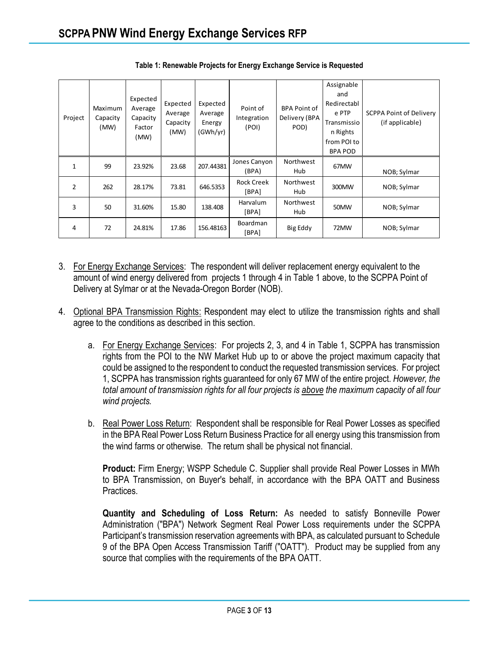| Project       | Maximum<br>Capacity<br>(MW) | Expected<br>Average<br>Capacity<br>Factor<br>(MW) | Expected<br>Average<br>Capacity<br>(MW) | Expected<br>Average<br>Energy<br>(GWh/yr) | Point of<br>Integration<br>(POI)                        | <b>BPA Point of</b><br>Delivery (BPA<br>POD) | Assignable<br>and<br>Redirectabl<br>e PTP<br>Transmissio<br>n Rights<br>from POI to<br><b>BPA POD</b> | <b>SCPPA Point of Delivery</b><br>(if applicable) |
|---------------|-----------------------------|---------------------------------------------------|-----------------------------------------|-------------------------------------------|---------------------------------------------------------|----------------------------------------------|-------------------------------------------------------------------------------------------------------|---------------------------------------------------|
| $\mathbf{1}$  | 99                          | 23.92%                                            | 23.68                                   | 207.44381                                 | Jones Canyon<br>(BPA)                                   | Northwest<br>Hub                             | 67MW                                                                                                  | NOB; Sylmar                                       |
| $\mathcal{P}$ | 262                         | 28.17%                                            | 73.81                                   | 646.5353                                  | <b>Rock Creek</b><br>Northwest<br>300MW<br>[BPA]<br>Hub |                                              | NOB; Sylmar                                                                                           |                                                   |
| 3             | 50                          | 31.60%                                            | 15.80                                   | 138.408                                   | <b>Harvalum</b><br>[BPA]                                | Northwest<br>Hub                             | 50MW                                                                                                  | NOB; Sylmar                                       |
| 4             | 72                          | 24.81%                                            | 17.86                                   | 156.48163                                 | <b>Boardman</b><br>[BPA]                                | Big Eddy                                     | 72MW                                                                                                  | NOB; Sylmar                                       |

**Table 1: Renewable Projects for Energy Exchange Service is Requested**

- 3. For Energy Exchange Services: The respondent will deliver replacement energy equivalent to the amount of wind energy delivered from projects 1 through 4 in Table 1 above, to the SCPPA Point of Delivery at Sylmar or at the Nevada-Oregon Border (NOB).
- 4. Optional BPA Transmission Rights: Respondent may elect to utilize the transmission rights and shall agree to the conditions as described in this section.
	- a. For Energy Exchange Services: For projects 2, 3, and 4 in Table 1, SCPPA has transmission rights from the POI to the NW Market Hub up to or above the project maximum capacity that could be assigned to the respondent to conduct the requested transmission services. For project 1, SCPPA has transmission rights guaranteed for only 67 MW of the entire project. *However, the total amount of transmission rights for all four projects is above the maximum capacity of all four wind projects.*
	- b. Real Power Loss Return: Respondent shall be responsible for Real Power Losses as specified in the BPA Real Power Loss Return Business Practice for all energy using this transmission from the wind farms or otherwise. The return shall be physical not financial.

**Product:** Firm Energy; WSPP Schedule C. Supplier shall provide Real Power Losses in MWh to BPA Transmission, on Buyer's behalf, in accordance with the BPA OATT and Business Practices.

**Quantity and Scheduling of Loss Return:** As needed to satisfy Bonneville Power Administration ("BPA") Network Segment Real Power Loss requirements under the SCPPA Participant's transmission reservation agreements with BPA, as calculated pursuant to Schedule 9 of the BPA Open Access Transmission Tariff ("OATT"). Product may be supplied from any source that complies with the requirements of the BPA OATT.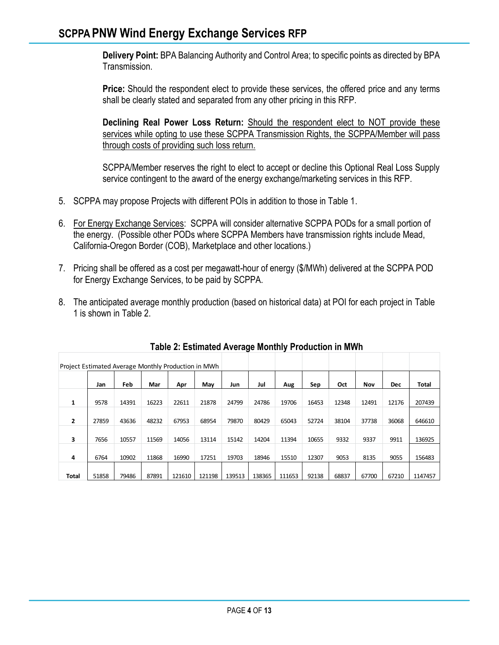**Delivery Point:** BPA Balancing Authority and Control Area; to specific points as directed by BPA Transmission.

**Price:** Should the respondent elect to provide these services, the offered price and any terms shall be clearly stated and separated from any other pricing in this RFP.

**Declining Real Power Loss Return:** Should the respondent elect to NOT provide these services while opting to use these SCPPA Transmission Rights, the SCPPA/Member will pass through costs of providing such loss return.

SCPPA/Member reserves the right to elect to accept or decline this Optional Real Loss Supply service contingent to the award of the energy exchange/marketing services in this RFP.

- 5. SCPPA may propose Projects with different POIs in addition to those in Table 1.
- 6. For Energy Exchange Services: SCPPA will consider alternative SCPPA PODs for a small portion of the energy. (Possible other PODs where SCPPA Members have transmission rights include Mead, California-Oregon Border (COB), Marketplace and other locations.)
- 7. Pricing shall be offered as a cost per megawatt-hour of energy (\$/MWh) delivered at the SCPPA POD for Energy Exchange Services, to be paid by SCPPA.
- 8. The anticipated average monthly production (based on historical data) at POI for each project in Table 1 is shown in Table 2.

| Project Estimated Average Monthly Production in MWh |       |       |       |        |        |        |        |        |       |       |       |            |         |
|-----------------------------------------------------|-------|-------|-------|--------|--------|--------|--------|--------|-------|-------|-------|------------|---------|
|                                                     | Jan   | Feb   | Mar   | Apr    | May    | Jun    | Jul    | Aug    | Sep   | Oct   | Nov   | <b>Dec</b> | Total   |
| $\mathbf{1}$                                        | 9578  | 14391 | 16223 | 22611  | 21878  | 24799  | 24786  | 19706  | 16453 | 12348 | 12491 | 12176      | 207439  |
| $\overline{2}$                                      | 27859 | 43636 | 48232 | 67953  | 68954  | 79870  | 80429  | 65043  | 52724 | 38104 | 37738 | 36068      | 646610  |
| 3                                                   | 7656  | 10557 | 11569 | 14056  | 13114  | 15142  | 14204  | 11394  | 10655 | 9332  | 9337  | 9911       | 136925  |
| 4                                                   | 6764  | 10902 | 11868 | 16990  | 17251  | 19703  | 18946  | 15510  | 12307 | 9053  | 8135  | 9055       | 156483  |
| Total                                               | 51858 | 79486 | 87891 | 121610 | 121198 | 139513 | 138365 | 111653 | 92138 | 68837 | 67700 | 67210      | 1147457 |

**Table 2: Estimated Average Monthly Production in MWh**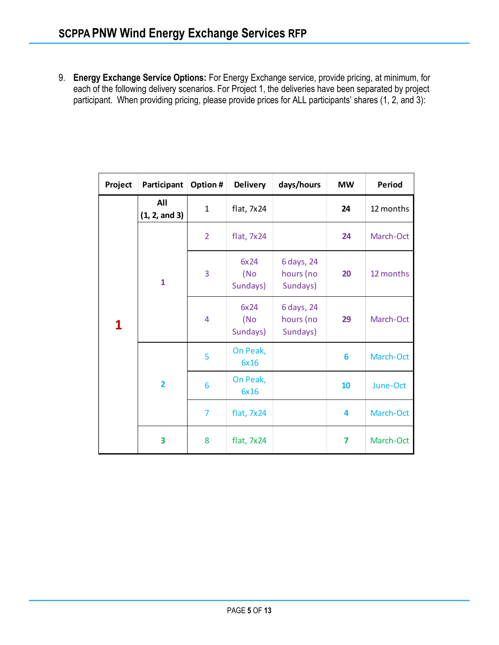9. **Energy Exchange Service Options:** For Energy Exchange service, provide pricing, at minimum, for each of the following delivery scenarios. For Project 1, the deliveries have been separated by project participant. When providing pricing, please provide prices for ALL participants' shares (1, 2, and 3):

| Project | Participant             | Option #       | <b>Delivery</b>          | days/hours                          | <b>MW</b> | <b>Period</b> |  |
|---------|-------------------------|----------------|--------------------------|-------------------------------------|-----------|---------------|--|
|         | All<br>(1, 2, and 3)    | 1              | flat, 7x24               |                                     | 24        | 12 months     |  |
|         | $\mathbf{1}$            | $\overline{2}$ | flat, $7x24$             |                                     | 24        | March-Oct     |  |
|         |                         | 3              | 6x24<br>(No<br>Sundays)  | 6 days, 24<br>hours (no<br>Sundays) | 20        | 12 months     |  |
| 1       |                         | $\overline{4}$ | 6x24<br>(No)<br>Sundays) | 6 days, 24<br>hours (no<br>Sundays) | 29        | March-Oct     |  |
|         | $\overline{\mathbf{2}}$ | 5              | On Peak,<br>6x16         |                                     | 6         | March-Oct     |  |
|         |                         | 6              | On Peak,<br>6x16         |                                     | 10        | June-Oct      |  |
|         |                         | 7              | flat, $7x24$             |                                     | 4         | March-Oct     |  |
|         | 3                       | 8              | flat, $7x24$             |                                     | 7         | March-Oct     |  |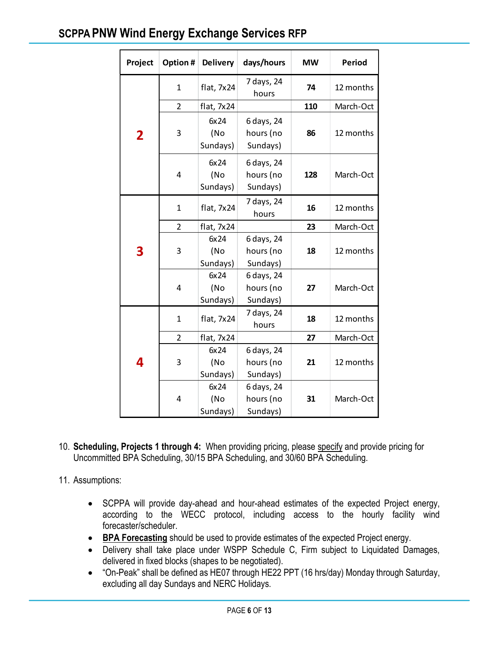# **SCPPA PNW Wind Energy Exchange Services RFP**

|                                                                                                                                                                                                                                                                                                                                                                                                                                                                                                                                                                                                                                            | Project      | Option #                | <b>Delivery</b>         | days/hours                          | <b>MW</b> | Period    |  |  |
|--------------------------------------------------------------------------------------------------------------------------------------------------------------------------------------------------------------------------------------------------------------------------------------------------------------------------------------------------------------------------------------------------------------------------------------------------------------------------------------------------------------------------------------------------------------------------------------------------------------------------------------------|--------------|-------------------------|-------------------------|-------------------------------------|-----------|-----------|--|--|
|                                                                                                                                                                                                                                                                                                                                                                                                                                                                                                                                                                                                                                            |              | 1                       | flat, 7x24              | 7 days, 24<br>hours                 | 74        | 12 months |  |  |
|                                                                                                                                                                                                                                                                                                                                                                                                                                                                                                                                                                                                                                            |              | 2                       | flat, 7x24              |                                     | 110       | March-Oct |  |  |
|                                                                                                                                                                                                                                                                                                                                                                                                                                                                                                                                                                                                                                            | $\mathbf{2}$ | 3                       | 6x24<br>(No<br>Sundays) | 6 days, 24<br>hours (no<br>Sundays) | 86        | 12 months |  |  |
|                                                                                                                                                                                                                                                                                                                                                                                                                                                                                                                                                                                                                                            |              | $\overline{\mathbf{4}}$ | 6x24<br>(No<br>Sundays) | 6 days, 24<br>hours (no<br>Sundays) | 128       | March-Oct |  |  |
|                                                                                                                                                                                                                                                                                                                                                                                                                                                                                                                                                                                                                                            |              | $\mathbf 1$             | flat, 7x24              | 7 days, 24<br>hours                 | 16        | 12 months |  |  |
|                                                                                                                                                                                                                                                                                                                                                                                                                                                                                                                                                                                                                                            |              | 2                       | flat, 7x24              |                                     | 23        | March-Oct |  |  |
|                                                                                                                                                                                                                                                                                                                                                                                                                                                                                                                                                                                                                                            | 3            | 3                       | 6x24<br>(No<br>Sundays) | 6 days, 24<br>hours (no<br>Sundays) | 18        | 12 months |  |  |
|                                                                                                                                                                                                                                                                                                                                                                                                                                                                                                                                                                                                                                            |              | 4                       | 6x24<br>(No<br>Sundays) | 6 days, 24<br>hours (no<br>Sundays) | 27        | March-Oct |  |  |
|                                                                                                                                                                                                                                                                                                                                                                                                                                                                                                                                                                                                                                            |              | $\mathbf 1$             | flat, 7x24              | 7 days, 24<br>hours                 | 18        | 12 months |  |  |
|                                                                                                                                                                                                                                                                                                                                                                                                                                                                                                                                                                                                                                            |              | 2                       | flat, 7x24              |                                     | 27        | March-Oct |  |  |
|                                                                                                                                                                                                                                                                                                                                                                                                                                                                                                                                                                                                                                            | 4            | 3                       | 6x24<br>(No<br>Sundays) | 6 days, 24<br>hours (no<br>Sundays) | 21        | 12 months |  |  |
|                                                                                                                                                                                                                                                                                                                                                                                                                                                                                                                                                                                                                                            |              | 4                       | 6x24<br>(No<br>Sundays) | 6 days, 24<br>hours (no<br>Sundays) | 31        | March-Oct |  |  |
| ling, Projects 1 through 4: When providing pricing, please specify and provic<br>nitted BPA Scheduling, 30/15 BPA Scheduling, and 30/60 BPA Scheduling.<br>tions:<br>SCPPA will provide day-ahead and hour-ahead estimates of the expected<br>according to the WECC protocol, including access to the hourl<br>forecaster/scheduler.<br><b>BPA Forecasting</b> should be used to provide estimates of the expected Projec<br>Delivery shall take place under WSPP Schedule C, Firm subject to Liquid<br>delivered in fixed blocks (shapes to be negotiated).<br>"On-Peak" shall be defined as HE07 through HE22 PPT (16 hrs/day) Monday th |              |                         |                         |                                     |           |           |  |  |

- 10. **Scheduling, Projects 1 through 4:** When providing pricing, please specify and provide pricing for Uncommitted BPA Scheduling, 30/15 BPA Scheduling, and 30/60 BPA Scheduling.
- 11. Assumptions:
	- SCPPA will provide day-ahead and hour-ahead estimates of the expected Project energy, according to the WECC protocol, including access to the hourly facility wind forecaster/scheduler.
	- **BPA Forecasting** should be used to provide estimates of the expected Project energy.
	- Delivery shall take place under WSPP Schedule C, Firm subject to Liquidated Damages, delivered in fixed blocks (shapes to be negotiated).
	- "On-Peak" shall be defined as HE07 through HE22 PPT (16 hrs/day) Monday through Saturday,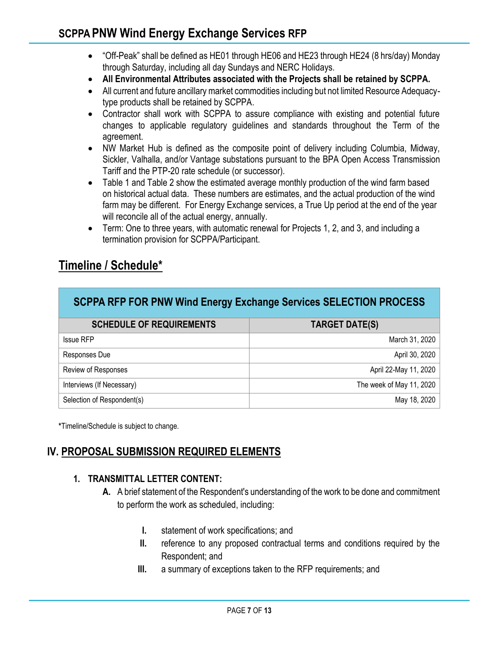- "Off-Peak" shall be defined as HE01 through HE06 and HE23 through HE24 (8 hrs/day) Monday through Saturday, including all day Sundays and NERC Holidays.
- **All Environmental Attributes associated with the Projects shall be retained by SCPPA.**
- All current and future ancillary market commodities including but not limited Resource Adequacytype products shall be retained by SCPPA.
- Contractor shall work with SCPPA to assure compliance with existing and potential future changes to applicable regulatory guidelines and standards throughout the Term of the agreement.
- NW Market Hub is defined as the composite point of delivery including Columbia, Midway, Sickler, Valhalla, and/or Vantage substations pursuant to the BPA Open Access Transmission Tariff and the PTP-20 rate schedule (or successor).
- Table 1 and Table 2 show the estimated average monthly production of the wind farm based on historical actual data. These numbers are estimates, and the actual production of the wind farm may be different. For Energy Exchange services, a True Up period at the end of the year will reconcile all of the actual energy, annually.
- Term: One to three years, with automatic renewal for Projects 1, 2, and 3, and including a termination provision for SCPPA/Participant.

# **Timeline / Schedule\***

| SCPPA RFP FOR PNW Wind Energy Exchange Services SELECTION PROCESS |                          |  |  |  |  |  |
|-------------------------------------------------------------------|--------------------------|--|--|--|--|--|
| <b>SCHEDULE OF REQUIREMENTS</b>                                   | <b>TARGET DATE(S)</b>    |  |  |  |  |  |
| <b>Issue RFP</b>                                                  | March 31, 2020           |  |  |  |  |  |
| Responses Due                                                     | April 30, 2020           |  |  |  |  |  |
| Review of Responses                                               | April 22-May 11, 2020    |  |  |  |  |  |
| Interviews (If Necessary)                                         | The week of May 11, 2020 |  |  |  |  |  |
| Selection of Respondent(s)                                        | May 18, 2020             |  |  |  |  |  |

**\***Timeline/Schedule is subject to change.

# **IV. PROPOSAL SUBMISSION REQUIRED ELEMENTS**

#### **1. TRANSMITTAL LETTER CONTENT:**

- **A.** A brief statement of the Respondent's understanding of the work to be done and commitment to perform the work as scheduled, including:
	- **I.** statement of work specifications; and
	- **II.** reference to any proposed contractual terms and conditions required by the Respondent; and
	- **III.** a summary of exceptions taken to the RFP requirements; and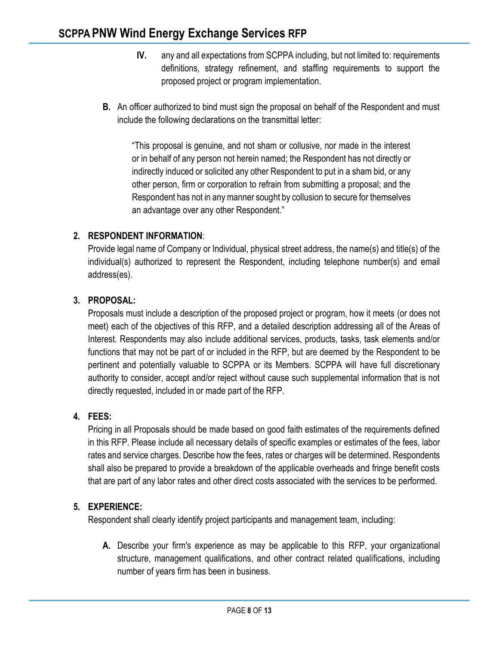- **IV.** any and all expectations from SCPPA including, but not limited to: requirements definitions, strategy refinement, and staffing requirements to support the proposed project or program implementation.
- **B.** An officer authorized to bind must sign the proposal on behalf of the Respondent and must include the following declarations on the transmittal letter:

"This proposal is genuine, and not sham or collusive, nor made in the interest or in behalf of any person not herein named; the Respondent has not directly or indirectly induced or solicited any other Respondent to put in a sham bid, or any other person, firm or corporation to refrain from submitting a proposal; and the Respondent has not in any manner sought by collusion to secure for themselves an advantage over any other Respondent."

### **2. RESPONDENT INFORMATION**:

Provide legal name of Company or Individual, physical street address, the name(s) and title(s) of the individual(s) authorized to represent the Respondent, including telephone number(s) and email address(es).

### **3. PROPOSAL:**

Proposals must include a description of the proposed project or program, how it meets (or does not meet) each of the objectives of this RFP, and a detailed description addressing all of the Areas of Interest. Respondents may also include additional services, products, tasks, task elements and/or functions that may not be part of or included in the RFP, but are deemed by the Respondent to be pertinent and potentially valuable to SCPPA or its Members. SCPPA will have full discretionary authority to consider, accept and/or reject without cause such supplemental information that is not directly requested, included in or made part of the RFP.

### **4. FEES:**

Pricing in all Proposals should be made based on good faith estimates of the requirements defined in this RFP. Please include all necessary details of specific examples or estimates of the fees, labor rates and service charges. Describe how the fees, rates or charges will be determined. Respondents shall also be prepared to provide a breakdown of the applicable overheads and fringe benefit costs that are part of any labor rates and other direct costs associated with the services to be performed.

#### **5. EXPERIENCE:**

Respondent shall clearly identify project participants and management team, including:

**A.** Describe your firm's experience as may be applicable to this RFP, your organizational structure, management qualifications, and other contract related qualifications, including number of years firm has been in business.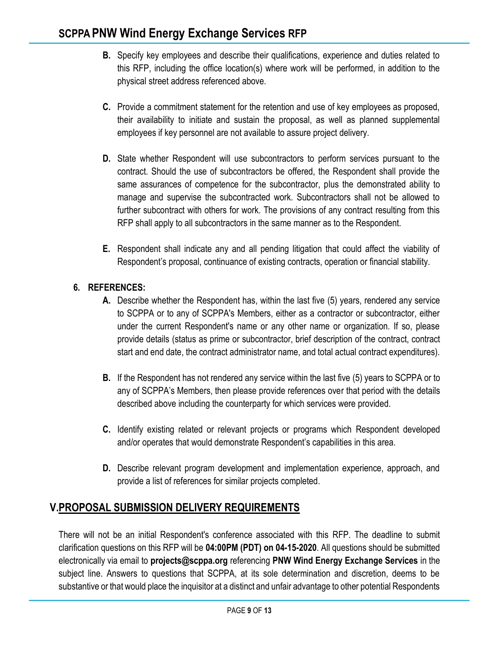- **B.** Specify key employees and describe their qualifications, experience and duties related to this RFP, including the office location(s) where work will be performed, in addition to the physical street address referenced above.
- **C.** Provide a commitment statement for the retention and use of key employees as proposed, their availability to initiate and sustain the proposal, as well as planned supplemental employees if key personnel are not available to assure project delivery.
- **D.** State whether Respondent will use subcontractors to perform services pursuant to the contract. Should the use of subcontractors be offered, the Respondent shall provide the same assurances of competence for the subcontractor, plus the demonstrated ability to manage and supervise the subcontracted work. Subcontractors shall not be allowed to further subcontract with others for work. The provisions of any contract resulting from this RFP shall apply to all subcontractors in the same manner as to the Respondent.
- **E.** Respondent shall indicate any and all pending litigation that could affect the viability of Respondent's proposal, continuance of existing contracts, operation or financial stability.

### **6. REFERENCES:**

- **A.** Describe whether the Respondent has, within the last five (5) years, rendered any service to SCPPA or to any of SCPPA's Members, either as a contractor or subcontractor, either under the current Respondent's name or any other name or organization. If so, please provide details (status as prime or subcontractor, brief description of the contract, contract start and end date, the contract administrator name, and total actual contract expenditures).
- **B.** If the Respondent has not rendered any service within the last five (5) years to SCPPA or to any of SCPPA's Members, then please provide references over that period with the details described above including the counterparty for which services were provided.
- **C.** Identify existing related or relevant projects or programs which Respondent developed and/or operates that would demonstrate Respondent's capabilities in this area.
- **D.** Describe relevant program development and implementation experience, approach, and provide a list of references for similar projects completed.

# **V.PROPOSAL SUBMISSION DELIVERY REQUIREMENTS**

There will not be an initial Respondent's conference associated with this RFP. The deadline to submit clarification questions on this RFP will be **04:00PM (PDT) on 04-15-2020**. All questions should be submitted electronically via email to **projects@scppa.org** referencing **PNW Wind Energy Exchange Services** in the subject line. Answers to questions that SCPPA, at its sole determination and discretion, deems to be substantive or that would place the inquisitor at a distinct and unfair advantage to other potential Respondents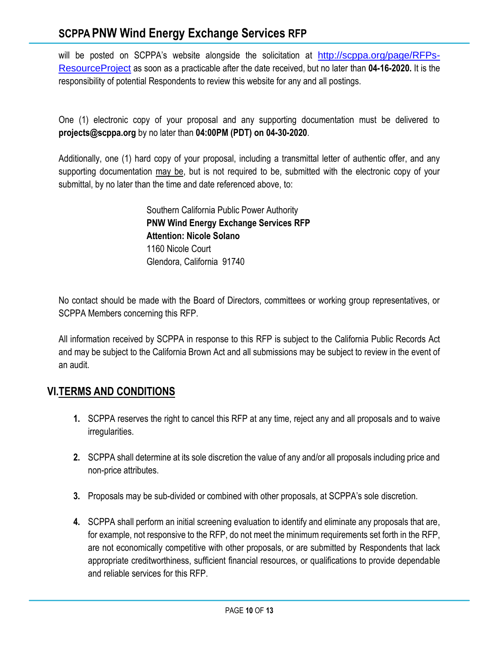# **SCPPA PNW Wind Energy Exchange Services RFP**

will be posted on SCPPA's website alongside the solicitation at [http://scppa.org/page/RFPs-](http://scppa.org/page/RFPs-ResourceProject)[ResourceProject](http://scppa.org/page/RFPs-ResourceProject) as soon as a practicable after the date received, but no later than **04-16-2020.** It is the responsibility of potential Respondents to review this website for any and all postings.

One (1) electronic copy of your proposal and any supporting documentation must be delivered to **projects@scppa.org** by no later than **04:00PM (PDT) on 04-30-2020**.

Additionally, one (1) hard copy of your proposal, including a transmittal letter of authentic offer, and any supporting documentation may be, but is not required to be, submitted with the electronic copy of your submittal, by no later than the time and date referenced above, to:

> Southern California Public Power Authority **PNW Wind Energy Exchange Services RFP Attention: Nicole Solano** 1160 Nicole Court Glendora, California 91740

No contact should be made with the Board of Directors, committees or working group representatives, or SCPPA Members concerning this RFP.

All information received by SCPPA in response to this RFP is subject to the California Public Records Act and may be subject to the California Brown Act and all submissions may be subject to review in the event of an audit.

# **VI.TERMS AND CONDITIONS**

- **1.** SCPPA reserves the right to cancel this RFP at any time, reject any and all proposals and to waive irregularities.
- **2.** SCPPA shall determine at its sole discretion the value of any and/or all proposals including price and non-price attributes.
- **3.** Proposals may be sub-divided or combined with other proposals, at SCPPA's sole discretion.
- **4.** SCPPA shall perform an initial screening evaluation to identify and eliminate any proposals that are, for example, not responsive to the RFP, do not meet the minimum requirements set forth in the RFP, are not economically competitive with other proposals, or are submitted by Respondents that lack appropriate creditworthiness, sufficient financial resources, or qualifications to provide dependable and reliable services for this RFP.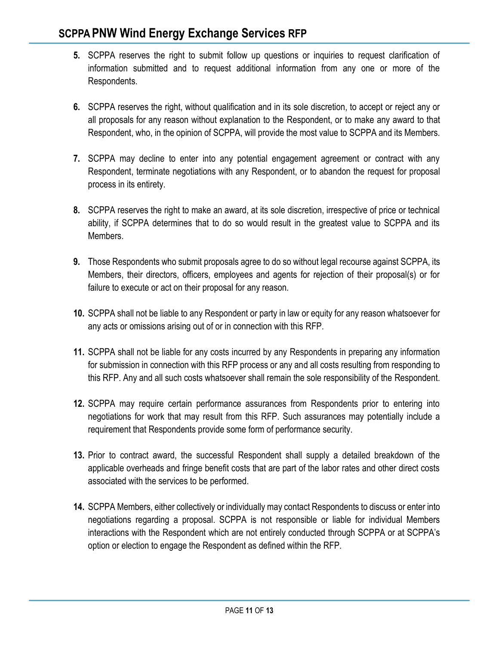- **5.** SCPPA reserves the right to submit follow up questions or inquiries to request clarification of information submitted and to request additional information from any one or more of the Respondents.
- **6.** SCPPA reserves the right, without qualification and in its sole discretion, to accept or reject any or all proposals for any reason without explanation to the Respondent, or to make any award to that Respondent, who, in the opinion of SCPPA, will provide the most value to SCPPA and its Members.
- **7.** SCPPA may decline to enter into any potential engagement agreement or contract with any Respondent, terminate negotiations with any Respondent, or to abandon the request for proposal process in its entirety.
- **8.** SCPPA reserves the right to make an award, at its sole discretion, irrespective of price or technical ability, if SCPPA determines that to do so would result in the greatest value to SCPPA and its Members.
- **9.** Those Respondents who submit proposals agree to do so without legal recourse against SCPPA, its Members, their directors, officers, employees and agents for rejection of their proposal(s) or for failure to execute or act on their proposal for any reason.
- **10.** SCPPA shall not be liable to any Respondent or party in law or equity for any reason whatsoever for any acts or omissions arising out of or in connection with this RFP.
- **11.** SCPPA shall not be liable for any costs incurred by any Respondents in preparing any information for submission in connection with this RFP process or any and all costs resulting from responding to this RFP. Any and all such costs whatsoever shall remain the sole responsibility of the Respondent.
- **12.** SCPPA may require certain performance assurances from Respondents prior to entering into negotiations for work that may result from this RFP. Such assurances may potentially include a requirement that Respondents provide some form of performance security.
- **13.** Prior to contract award, the successful Respondent shall supply a detailed breakdown of the applicable overheads and fringe benefit costs that are part of the labor rates and other direct costs associated with the services to be performed.
- **14.** SCPPA Members, either collectively or individually may contact Respondents to discuss or enter into negotiations regarding a proposal. SCPPA is not responsible or liable for individual Members interactions with the Respondent which are not entirely conducted through SCPPA or at SCPPA's option or election to engage the Respondent as defined within the RFP.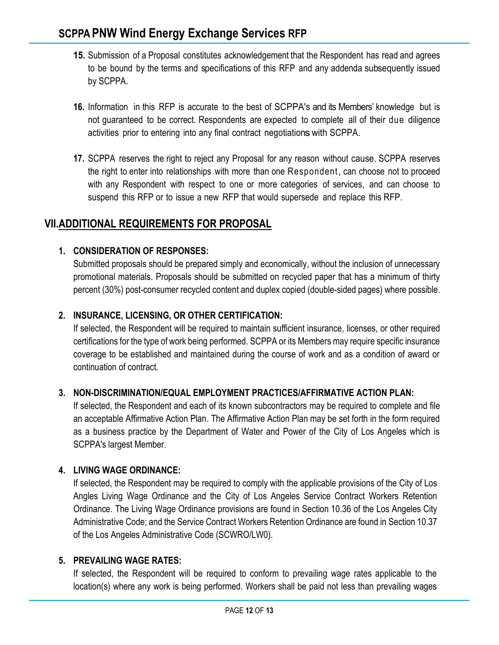- **15.** Submission of a Proposal constitutes acknowledgement that the Respondent has read and agrees to be bound by the terms and specifications of this RFP and any addenda subsequently issued by SCPPA.
- **16.** Information in this RFP is accurate to the best of SCPPA's and its Members' knowledge but is not guaranteed to be correct. Respondents are expected to complete all of their due diligence activities prior to entering into any final contract negotiations with SCPPA.
- **17.** SCPPA reserves the right to reject any Proposal for any reason without cause. SCPPA reserves the right to enter into relationships with more than one Respondent, can choose not to proceed with any Respondent with respect to one or more categories of services, and can choose to suspend this RFP or to issue a new RFP that would supersede and replace this RFP.

# **VII.ADDITIONAL REQUIREMENTS FOR PROPOSAL**

### **1. CONSIDERATION OF RESPONSES:**

Submitted proposals should be prepared simply and economically, without the inclusion of unnecessary promotional materials. Proposals should be submitted on recycled paper that has a minimum of thirty percent (30%) post-consumer recycled content and duplex copied (double-sided pages) where possible.

### **2. INSURANCE, LICENSING, OR OTHER CERTIFICATION:**

If selected, the Respondent will be required to maintain sufficient insurance, licenses, or other required certifications for the type of work being performed. SCPPA or its Members may require specific insurance coverage to be established and maintained during the course of work and as a condition of award or continuation of contract.

#### **3. NON-DISCRIMINATION/EQUAL EMPLOYMENT PRACTICES/AFFIRMATIVE ACTION PLAN:**

If selected, the Respondent and each of its known subcontractors may be required to complete and file an acceptable Affirmative Action Plan. The Affirmative Action Plan may be set forth in the form required as a business practice by the Department of Water and Power of the City of Los Angeles which is SCPPA's largest Member.

#### **4. LIVING WAGE ORDINANCE:**

If selected, the Respondent may be required to comply with the applicable provisions of the City of Los Angles Living Wage Ordinance and the City of Los Angeles Service Contract Workers Retention Ordinance. The Living Wage Ordinance provisions are found in Section 10.36 of the Los Angeles City Administrative Code; and the Service Contract Workers Retention Ordinance are found in Section 10.37 of the Los Angeles Administrative Code (SCWRO/LW0).

#### **5. PREVAILING WAGE RATES:**

If selected, the Respondent will be required to conform to prevailing wage rates applicable to the location(s) where any work is being performed. Workers shall be paid not less than prevailing wages